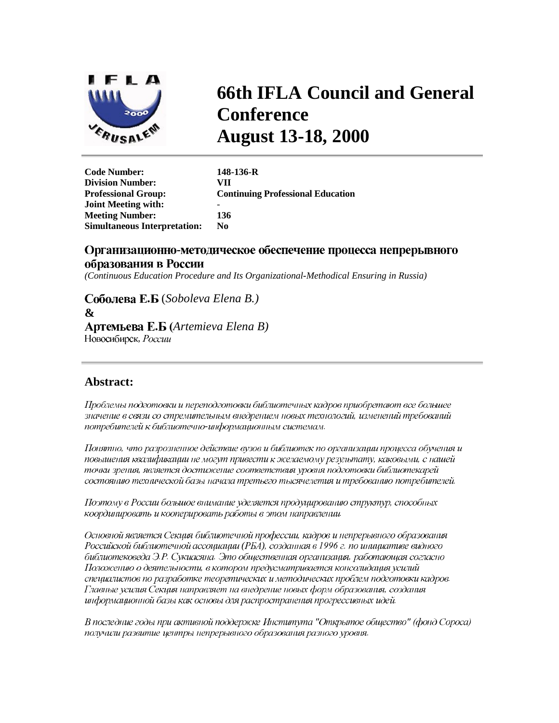

# **66th IFLA Council and General Conference August 13-18, 2000**

**Code Number: 148-136-R Division Number: VII Professional Group: Continuing Professional Education Joint Meeting with:** - **Meeting Number: 136 Simultaneous Interpretation: No** 

# Организационно-методическое обеспечение процесса непрерывного

## образования в России

*(Continuous Education Procedure and Its Organizational-Methodical Ensuring in Russia)*

 (*Soboleva Elena B.)* **&**  *Artemieva Elena B)* Новосибирск, России

# **Abstract:**

Проблемы подготовки и переподготовки библиотечных кадров приобретают все большее значение в связи со стремительным внедрением новых технологий, изменений требований потребителей к библиотечно-информационным системам.

Понятно, что разрозненное действие вузов и библиотек по организации процесса обучения и повышения квалификации не могут привести к желаемому результату, каковыми, с нашей точки зрения, является достижение соответствия уровня подготовки библиотекарей состоянию технической базы начала третьего тысячелетия и требованию потребителей.

Поэтому в России большое внимание уделяется продуцированию структур, способных координировать и кооперировать работы в этом направлении.

Основной является Секция библиотечной профессии, кадров и непрерывного образования Российской библиотечной ассоциации (РБА), созданная в 1996 г. по инициативе видного библиотековеда Э.Р. Сукиасяна. Это общественная организация, работающая согласно Положению о деятельности, в котором предусматривается консолидация усилий специалистов по разработке теоретических и методических проблем подготовки кадров. Главные усилия Секция направляет на внедрение новых форм образования, создания информационной базы как основы для распространения прогрессивных идей.

В последние годы при активной поддержке Института "Открытое общество" (фонд Сороса) получили развитие центры непрерывного образования разного уровня.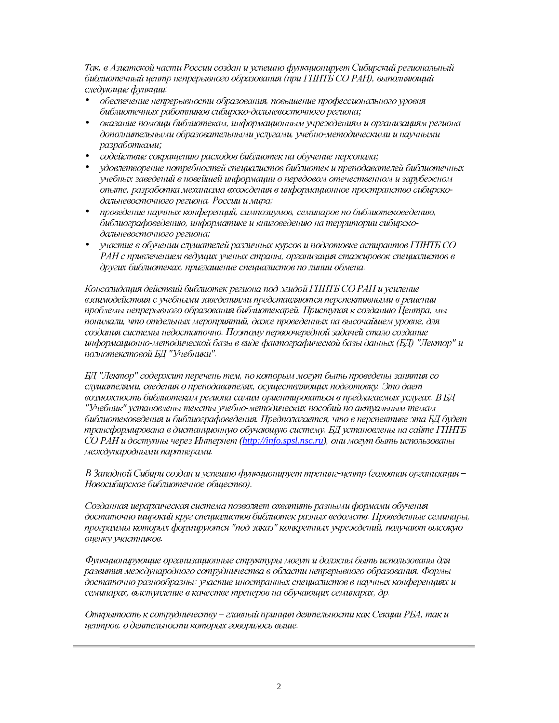Так, в Азиатской части России создан и успешно функционирует Сибирский региональный библиотечный центр непрерывного образования (при ГПНТБ СО РАН), выполняющий следующие функции:

- обеспечение непрерывности образования, повышение профессионального уровня библиотечных работников сибирско-дальневосточного региона;
- оказание помощи библиотекам, информационным учреждениям и организациям региона дополнительными образовательными услугами, учебно-методическими и научными разработками;
- содействие сокращению расходов библиотек на обучение персонала;
- удовлетворение потребностей специалистов библиотек и преподавателей библиотечных учебных заведений в новейшей информации о передовом отечественном и зарубежном опыте, разработка механизма вхождения в информационное пространство сибирскодальневосточного региона, России и мира;
- проведение научных конференций, симпозиумов, семинаров по библиотековедению, библиографоведению, информатике и книговедению на территории сибирскодальневосточного региона;
- участие в обучении слушателей различных курсов и подготовке аспирантов ГПНТБ СО РАН с привлечением ведущих ученых страны, организация стажировок специалистов в других библиотеках, приглашение специалистов по линии обмена.

Консолидация действий библиотек региона под эгидой ГПНТБ СО РАН и усиление взаимодействия с учебными заведениями представляются перспективными в решении проблемы непрерывного образования библиотекарей. Приступая к созданию Центра, мы понимали, что отдельных мероприятий, даже проведенных на высочайшем уровне, для создания системы недостаточно. Поэтому первоочередной задачей стало создание информационно-методической базы в виде фактографической базы данных (БД) "Лектор" и полнотекстовой БД "Учебники".

БД "Лектор" содержит перечень тем, по которым могут быть проведены занятия со слушателями, сведения о преподавателях, осуществляющих подготовку. Это дает возможность библиотекам региона самим ориентироваться в предлагаемых услугах. В БД "Учебник" установлены тексты учебно-методических пособий по актуалыным темам библиотековедения и библиографоведения. Предполагается, что в перспективе эта БД будет трансформирована в дистанционную обучающую систему. БД установлены на сайте ГПНТБ CO PAH и доступны через Интернет (http://info.spsl.nsc.ru), они могут быть использованы международными партнерами.

В Западной Сибири создан и успешно функционирует тренинг-центр (головная организация -Новосибирское библиотечное общество).

Созданная иерархическая система позволяет охватить разными формами обучения достаточно широкий круг специалистов библиотек разных ведомств. Проведенные семинары, программы которых формируются "под заказ" конкретных учреждений, получают высокую оценку участников.

Функционирующие организационные структуры могут и должны быть использованы для развития международного сотрудничества в области непрерывного образования. Формы достаточно разнообразны: участие иностранных специалистов в научных конференциях и семинарах, выступление в качестве тренеров на обучающих семинарах, др.

Открытость к сотрудничеству – главный принцип деятельности как Секции РБА, так и центров, о деятельности которых говорилось выше.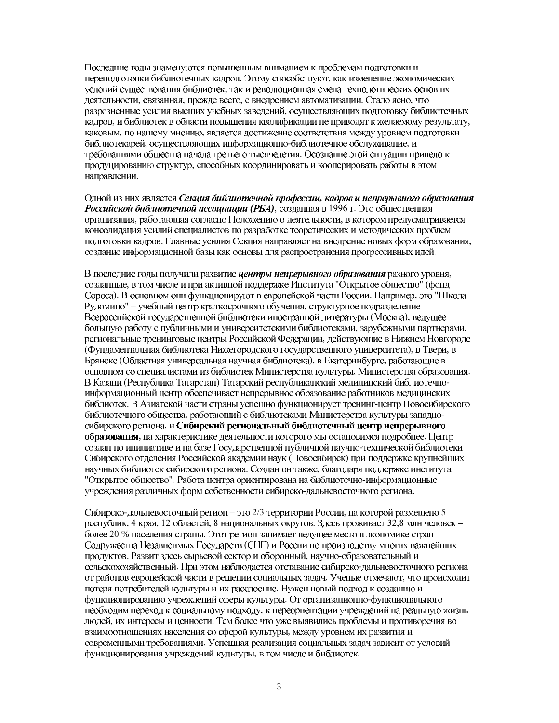Последние годы знаменуются повышенным вниманием к проблемам подготовки и переподготовки библиотечных кадров. Этому способствуют, как изменение экономических условий существования библиотек, так и революционная смена технологических основ их деятельности, связанная, прежде всего, с внедрением автоматизации. Стало ясно, что разрозненные усилия высших учебных заведений, осуществляющих подготовку библиотечных кадров, и библиотек в области повышения квалификации не приводят к желаемому результату, каковым, по нашему мнению, является лостижение соответствия межлу уровнем полготовки библиотекарей, осуществляющих информационно-библиотечное обслуживание, и требованиями общества начала третьего тысячелетия. Осознание этой ситуации привело к продуцированию структур, способных координировать и кооперировать работы в этом направлении.

Одной из них является Секция библиотечной профессии, кадров и непрерывного образования Российской библиотечной ассоциации (РБА), созданная в 1996 г. Это общественная организация, работающая согласно Положению о деятельности, в котором предусматривается консолидация усилий специалистов по разработке теоретических и методических проблем подготовки кадров. Главные усилия Секция направляет на внедрение новых форм образования, создание информационной базы как основы для распространения прогрессивных идей.

В последние годы получили развитие иентры непрерывного образования разного уровня, созданные, в том числе и при активной поддержке Института "Открытое общество" (фонд Сороса). В основном они функционируют в европейской части России. Например, это "Школа Рудомино" - учебный центр краткосрочного обучения, структурное подразделение Всероссийской государственной библиотеки иностранной литературы (Москва), ведущее большую работу с публичными и университетскими библиотеками, зарубежными партнерами, региональные тренинговые центры Российской Федерации, действующие в Нижнем Новгороде (Фундаментальная библиотека Нижегородского государственного университета), в Твери, в Брянске (Областная универсальная научная библиотека), в Екатеринбурге, работающие в основном со специалистами из библиотек Министерства культуры, Министерства образования. В Казани (Республика Татарстан) Татарский республиканский медицинский библиотечноинформационный центр обеспечивает непрерывное образование работников медицинских библиотек. В Азиатской части страны успешно функционирует тренинг-центр Новосибирского библиотечного общества, работающий с библиотеками Министерства культуры западносибирского региона, и Сибирский региональный библиотечный центр непрерывного образования, на характеристике деятельности которого мы остановимся подробнее. Центр создан по инициативе и на базе Государственной публичной научно-технической библиотеки Сибирского отделения Российской академии наук (Новосибирск) при поддержке крупнейших научных библиотек сибирского региона. Создан он также, благодаря поддержке института "Открытое общество". Работа центра ориентирована на библиотечно-информационные учреждения различных форм собственности сибирско-дальневосточного региона.

Сибирско-дальневосточный регион - это 2/3 территории России, на которой размещено 5 республик, 4 края, 12 областей, 8 национальных округов. Здесь проживает 32,8 млн человек более 20 % населения страны. Этот регион занимает ведущее место в экономике стран Содружества Независимых Государств (СНГ) и России по производству многих важнейших продуктов. Развит здесь сырьевой сектор и оборонный, научно-образовательный и сельскохозяйственный. При этом наблюдается отставание сибирско-дальневосточного региона от районов европейской части в решении социальных задач. Ученые отмечают, что происходит потеря потребителей культуры и их расслоение. Нужен новый подход к созданию и функционированию учреждений сферы культуры. От организационно-функционального необходим переход к социальному подходу, к переориентации учреждений на реальную жизнь людей, их интересы и ценности. Тем более что уже выявились проблемы и противоречия во взаимоотношениях населения со сферой культуры, между уровнем их развития и современными требованиями. Успешная реализация социальных задач зависит от условий функционирования учреждений культуры, в том числе и библиотек.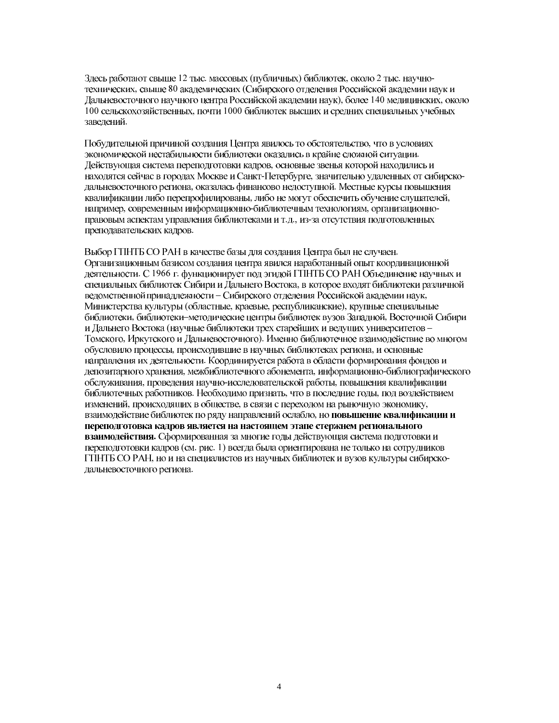Здесь работают свыше 12 тыс. массовых (публичных) библиотек, около 2 тыс. научнотехнических, свыше 80 академических (Сибирского отделения Российской академии наук и Дальневосточного научного центра Российской академии наук), более 140 медицинских, около 100 сельскохозяйственных, почти 1000 библиотек высших и средних специальных учебных заведений.

Побудительной причиной создания Центра явилось то обстоятельство, что в условиях экономической нестабильности библиотеки оказались в крайне сложной ситуации. Действующая система переподготовки кадров, основные звенья которой находились и находятся сейчас в городах Москве и Санкт-Петербурге, значительно удаленных от сибирскодальневосточного региона, оказалась финансово недоступной. Местные курсы повышения квалификации либо перепрофилированы, либо не могут обеспечить обучение слушателей, например, современным информационно-библиотечным технологиям, организационноправовым аспектам управления библиотеками и т.д., из-за отсутствия подготовленных преподавательских кадров.

Выбор ГПНТБ СО РАН в качестве базы для создания Центра был не случаен. Организационным базисом создания центра явился наработанный опыт координационной деятельности. С 1966 г. функционирует под эгидой ГПНТБ СО РАН Объединение научных и специальных библиотек Сибири и Дальнего Востока, в которое входят библиотеки различной ведомственной принадлежности - Сибирского отделения Российской академии наук, Министерства культуры (областные, краевые, республиканские), крупные специальные библиотеки, библиотеки-методические центры библиотек вузов Западной, Восточной Сибири и Дальнего Востока (научные библиотеки трех старейших и ведущих университетов -Томского, Иркутского и Дальневосточного). Именно библиотечное взаимодействие во многом обусловило процессы, происходившие в научных библиотеках региона, и основные направления их деятельности. Координируется работа в области формирования фондов и депозитарного хранения, межбиблиотечного абонемента, информационно-библиографического обслуживания, проведения научно-исследовательской работы, повышения квалификации библиотечных работников. Необходимо признать, что в последние годы, под воздействием изменений, происходящих в обществе, в связи с переходом на рыночную экономику, взаимодействие библиотек по ряду направлений ослабло, но повышение квалификации и переподготовка кадров является на настоящем этапе стержнем регионального взаимодействия. Сформированная за многие годы действующая система подготовки и переподготовки кадров (см. рис. 1) всегда была ориентирована не только на сотрудников ГПНТБ СО РАН, но и на специалистов из научных библиотек и вузов культуры сибирскодальневосточного региона.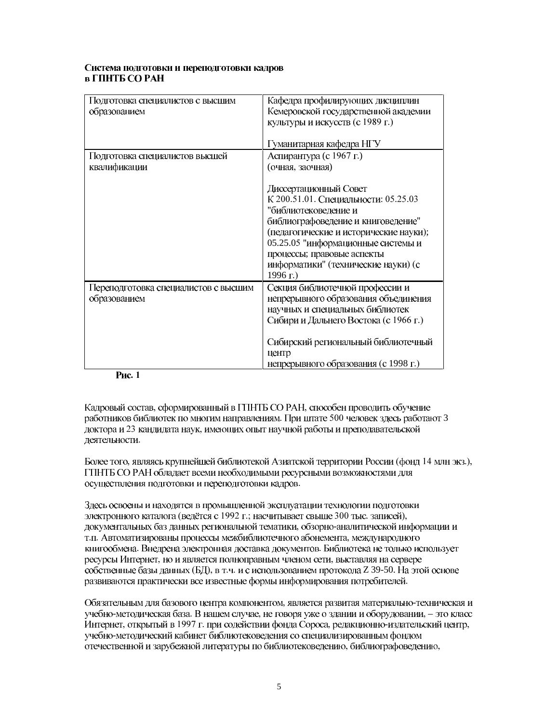#### Система подготовки и переподготовки кадров в ГПНТБ СО РАН

| Подготовка специалистов с высшим     | Кафедра профилирующих дисциплин        |
|--------------------------------------|----------------------------------------|
| образованием                         | Кемеровской государственной академии   |
|                                      | культуры и искусств (с 1989 г.)        |
|                                      |                                        |
|                                      | Гуманитарная кафедра НГУ               |
| Подготовка специалистов высшей       | Аспирантура (с 1967 г.)                |
| квалификации                         | (очная, заочная)                       |
|                                      |                                        |
|                                      | Диссертационный Совет                  |
|                                      | К 200.51.01. Специальности: 05.25.03   |
|                                      | "библиотековедение и                   |
|                                      | библиографоведение и книговедение"     |
|                                      | (педагогические и исторические науки); |
|                                      | 05.25.05 "информационные системы и     |
|                                      | процессы; правовые аспекты             |
|                                      | информатики" (технические науки) (с    |
|                                      | 1996 г.)                               |
| Переподготовка специалистов с высшим | Секция библиотечной профессии и        |
| образованием                         | непрерывного образования объединения   |
|                                      | научных и специальных библиотек        |
|                                      | Сибири и Дальнего Востока (с 1966 г.)  |
|                                      |                                        |
|                                      | Сибирский региональный библиотечный    |
|                                      | центр                                  |
|                                      | непрерывного образования (с 1998 г.)   |

### Рис. 1

Кадровый состав, сформированный в ГПНТБ СО РАН, способен проводить обучение работников библиотек по многим направлениям. При штате 500 человек здесь работают 3 доктора и 23 кандидата наук, имеющих опыт научной работы и преподавательской деятельности.

Более того, являясь крупнейшей библиотекой Азиатской территории России (фонд 14 млн экз.), ГПНТБ СО РАН обладает всеми необходимыми ресурсными возможностями для осуществления подготовки и переподготовки кадров.

Здесь освоены и находятся в промышленной эксплуатации технологии подготовки электронного каталога (ведётся с 1992 г.; насчитывает свыше 300 тыс. записей), документальных баз данных региональной тематики, обзорно-аналитической информации и т.п. Автоматизированы процессы межбиблиотечного абонемента, международного книгообмена. Внедрена электронная доставка документов. Библиотека не только использует ресурсы Интернет, но и является полноправным членом сети, выставляя на сервере собственные базы данных (БД), в т.ч. и с использованием протокола Z 39-50. На этой основе развиваются практически все известные формы информирования потребителей.

Обязательным для базового центра компонентом, является развитая материально-техническая и учебно-методическая база. В нашем случае, не говоря уже о здании и оборудовании, - это класс Интернет, открытый в 1997 г. при содействии фонда Сороса, редакционно-издательский центр, учебно-методический кабинет библиотековедения со специализированным фондом отечественной и зарубежной литературы по библиотековедению, библиографоведению,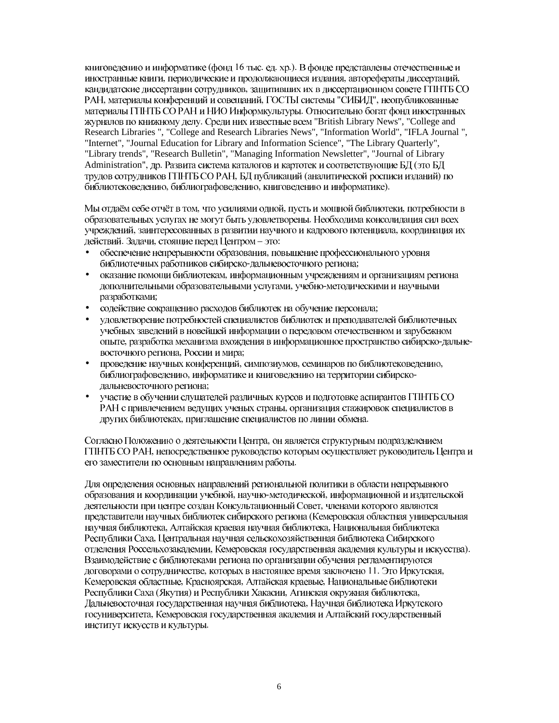книговелению и информатике (фонл 16 тыс. ел. хр.). В фонле представлены отечественные и иностранные книги, периодические и продолжающиеся издания, авторефераты диссертаций, кандидатские диссертации сотрудников, защитивших их в диссертационном совете ГПНТБ СО РАН, материалы конференций и совещаний, ГОСТЫ системы "СИБИД", неопубликованные материалы ГПНТБ СО РАН и НИО Информкультуры. Относительно богат фонд иностранных журналов по книжному делу. Среди них известные всем "British Library News", "College and Research Libraries ", "College and Research Libraries News", "Information World", "IFLA Journal ", "Internet", "Journal Education for Library and Information Science", "The Library Quarterly", "Library trends", "Research Bulletin", "Managing Information Newsletter", "Journal of Library Administration", др. Развита система каталогов и картотек и соответствующие БД (это БД трудов сотрудников ГПНТБ СО РАН, БД публикаций (аналитической росписи изданий) по библиотековедению, библиографоведению, книговедению и информатике).

Мы отдаём себе отчёт в том, что усилиями одной, пусть и мощной библиотеки, потребности в образовательных услугах не могут быть удовлетворены. Необходима консолидация сил всех учреждений, заинтересованных в развитии научного и кадрового потенциала, координация их действий. Задачи, стоящие перед Центром - это:

- обеспечение непрерывности образования, повышение профессионального уровня библиотечных работников сибирско-дальневосточного региона;
- оказание помощи библиотекам, информационным учреждениям и организациям региона дополнительными образовательными услугами, учебно-методическими и научными разработками;
- содействие сокращению расходов библиотек на обучение персонала;
- удовлетворение потребностей специалистов библиотек и преподавателей библиотечных • учебных заведений в новейшей информации о передовом отечественном и зарубежном опыте, разработка механизма вхождения в информационное пространство сибирско-дальневосточного региона, России и мира;
- проведение научных конференций, симпозиумов, семинаров по библиотековедению, библиографоведению, информатике и книговедению на территории сибирскодальневосточного региона;
- участие в обучении слушателей различных курсов и подготовке аспирантов ГПНТБ СО РАН с привлечением ведущих ученых страны, организация стажировок специалистов в других библиотеках, приглашение специалистов по линии обмена.

Согласно Положению о деятельности Центра, он является структурным подразделением ГПНТБ СО РАН, непосредственное руководство которым осуществляет руководитель Центра и его заместители по основным направлениям работы.

Для определения основных направлений региональной политики в области непрерывного образования и координации учебной, научно-методической, информационной и издательской деятельности при центре создан Консультационный Совет, членами которого являются представители научных библиотек сибирского региона (Кемеровская областная универсальная научная библиотека, Алтайская краевая научная библиотека, Национальная библиотека Республики Саха, Центральная научная сельскохозяйственная библиотека Сибирского отделения Россельхозакадемии, Кемеровская государственная академия культуры и искусства). Взаимодействие с библиотеками региона по организации обучения регламентируются договорами о сотрудничестве, которых в настоящее время заключено 11. Это Иркутская, Кемеровская областные, Красноярская, Алтайская краевые, Национальные библиотеки Республики Саха (Якутия) и Республики Хакасии, Агинская окружная библиотека, Дальневосточная государственная научная библиотека, Научная библиотека Иркутского госуниверситета, Кемеровская государственная академия и Алтайский государственный институт искусств и культуры.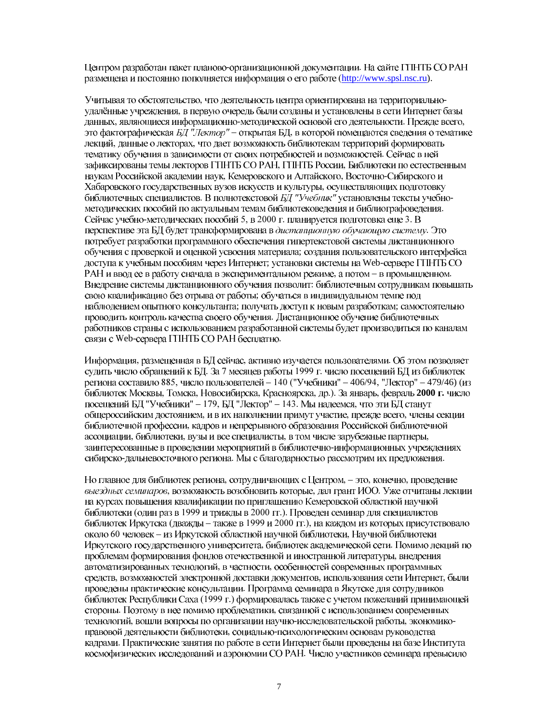Центром разработан пакет планово-организационной локументации. На сайте ГПНТБ СО РАН размещена и постоянно пополняется информация о его работе (http://www.spsl.nsc.ru).

Учитывая то обстоятельство, что деятельность центра ориентирована на территориальноудалённые учреждения, в первую очередь были созданы и установлены в сети Интернет базы данных, являющиеся информационно-методической основой его деятельности. Прежде всего, это фактографическая БД "Лектор" - открытая БД, в которой помещаются сведения о тематике лекций, данные о лекторах, что дает возможность библиотекам территорий формировать тематику обучения в зависимости от своих потребностей и возможностей. Сейчас в ней зафиксированы темы лекторов ГПНТБ СО РАН, ГПНТБ России, Библиотеки по естественным наукам Российской академии наук, Кемеровского и Алтайского, Восточно-Сибирского и Хабаровского государственных вузов искусств и культуры, осуществляющих подготовку библиотечных специалистов. В полнотекстовой БД "Учебник" установлены тексты учебнометодических пособий по актуальным темам библиотековедения и библиографоведения. Сейчас учебно-методических пособий 5, в 2000 г. планируется подготовка еще 3. В перспективе эта БД будет трансформирована в дистанционную обучающую систему. Это потребует разработки программного обеспечения гипертекстовой системы дистанционного обучения с проверкой и оценкой усвоения материала; создания пользовательского интерфейса доступа к учебным пособиям через Интернет; установки системы на Web-сервере ГПНТБ СО РАН и ввод ее в работу сначала в экспериментальном режиме, а потом - в промышленном. Внедрение системы дистанционного обучения позволит: библиотечным сотрудникам повышать свою квалификацию без отрыва от работы; обучаться в индивидуальном темпе под наблюдением опытного консультанта; получать доступ к новым разработкам; самостоятельно проводить контроль качества своего обучения. Дистанционное обучение библиотечных работников страны с использованием разработанной системы будет производиться по каналам связи с Web-сервера ГПНТБ СО РАН бесплатно.

Информация, размещенная в БД сейчас, активно изучается пользователями. Об этом позволяет судить число обращений к БД. За 7 месяцев работы 1999 г. число посещений БД из библиотек региона составило 885, число пользователей - 140 ("Учебники" - 406/94, "Лектор" - 479/46) (из библиотек Москвы, Томска, Новосибирска, Красноярска, др.). За январь, февраль 2000 г. число посещений БД "Учебники" - 179, БД "Лектор" - 143. Мы надеемся, что эти БД станут общероссийским достоянием, и в их наполнении примут участие, прежде всего, члены секции библиотечной профессии, кадров и непрерывного образования Российской библиотечной ассоциации, библиотеки, вузы и все специалисты, в том числе зарубежные партнеры, заинтересованные в проведении мероприятий в библиотечно-информационных учреждениях сибирско-дальневосточного региона. Мы с благодарностью рассмотрим их предложения.

Но главное для библиотек региона, сотрудничающих с Центром, - это, конечно, проведение выездных семинаров, возможность возобновить которые, дал грант ИОО. Уже отчитаны лекции на курсах повышения квалификации по приглашению Кемеровской областной научной библиотеки (один раз в 1999 и трижды в 2000 гг.). Проведен семинар для специалистов библиотек Иркутска (дважды - также в 1999 и 2000 гг.), на каждом из которых присутствовало около 60 человек - из Иркутской областной научной библиотеки, Научной библиотеки Иркутского государственного университета, библиотек академической сети. Помимо лекций по проблемам формирования фондов отечественной и иностранной литературы, внедрения автоматизированных технологий, в частности, особенностей современных программных средств, возможностей электронной доставки документов, использования сети Интернет, были проведены практические консультации. Программа семинара в Якутске для сотрудников библиотек Республики Саха (1999 г.) формировалась также с учетом пожеланий принимающей стороны. Поэтому в нее помимо проблематики, связанной с использованием современных технологий, вошли вопросы по организации научно-исследовательской работы, экономикоправовой деятельности библиотеки, социально-психологическим основам руководства кадрами. Практические занятия по работе в сети Интернет были проведены на базе Института космофизических исследований и аэрономии СО РАН. Число участников семинара превысило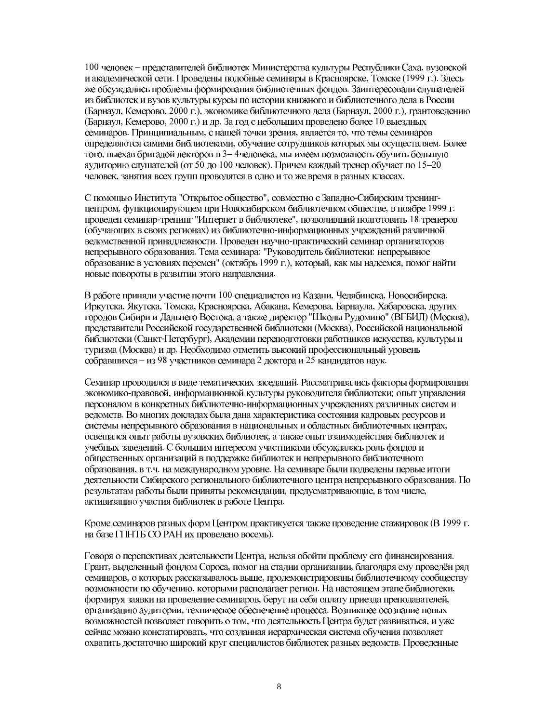100 человек – представителей библиотек Министерства культуры Республики Саха, вузовской и академической сети. Проведены подобные семинары в Красноярске, Томске (1999 г.). Здесь же обсуждались проблемы формирования библиотечных фондов. Заинтересовали слушателей из библиотек и вузов культуры курсы по истории книжного и библиотечного дела в России (Барнаул, Кемерово, 2000 г.), экономике библиотечного дела (Барнаул, 2000 г.), грантоведению (Барнаул, Кемерово, 2000 г.) и др. За год с небольшим проведено более 10 выездных семинаров. Принципиальным, с нашей точки зрения, является то, что темы семинаров определяются самими библиотеками, обучение сотрудников которых мы осуществляем. Более того, выехав бригадой лекторов в 3-4 человека, мы имеем возможность обучить большую аудиторию слушателей (от 50 до 100 человек). Причем каждый тренер обучает по 15-20 человек, занятия всех групп проводятся в одно и то же время в разных классах.

С помощью Института "Открытое общество", совместно с Западно-Сибирским тренингцентром, функционирующем при Новосибирском библиотечном обществе, в ноябре 1999 г. проведен семинар-тренинг "Интернет в библиотеке", позволивший подготовить 18 тренеров (обучающих в своих регионах) из библиотечно-информационных учреждений различной ведомственной принадлежности. Проведен научно-практический семинар организаторов непрерывного образования. Тема семинара: "Руководитель библиотеки: непрерывное образование в условиях перемен" (октябрь 1999 г.), который, как мы надеемся, помог найти новые повороты в развитии этого направления.

В работе приняли участие почти 100 специалистов из Казани, Челябинска, Новосибирска, Иркутска, Якутска, Томска, Красноярска, Абакана, Кемерова, Барнаула, Хабаровска, других городов Сибири и Дальнего Востока, а также директор "Школы Рудомино" (ВГБИЛ) (Москва), представители Российской государственной библиотеки (Москва), Российской национальной библиотеки (Санкт-Петербург), Академии переподготовки работников искусства, культуры и туризма (Москва) и др. Необходимо отметить высокий профессиональный уровень собравшихся - из 98 участников семинара 2 доктора и 25 кандидатов наук.

Семинар проводился в виде тематических заседаний. Рассматривались факторы формирования экономико-правовой, информационной культуры руководителя библиотеки; опыт управления персоналом в конкретных библиотечно-информационных учреждениях различных систем и ведомств. Во многих докладах была дана характеристика состояния кадровых ресурсов и системы непрерывного образования в национальных и областных библиотечных центрах, освещался опыт работы вузовских библиотек, а также опыт взаимодействия библиотек и учебных заведений. С большим интересом участниками обсуждалась роль фондов и общественных организаций в поддержке библиотек и непрерывного библиотечного образования, в т.ч. на международном уровне. На семинаре были подведены первые итоги деятельности Сибирского регионального библиотечного центра непрерывного образования. По результатам работы были приняты рекомендации, предусматривающие, в том числе, активизацию участия библиотек в работе Центра.

Кроме семинаров разных форм Центром практикуется также проведение стажировок (В 1999 г. на базе ГПНТБ СО РАН их проведено восемь).

Говоря о перспективах деятельности Центра, нельзя обойти проблему его финансирования. Грант, выделенный фондом Сороса, помог на стадии организации, благодаря ему проведён ряд семинаров, о которых рассказывалось выше, продемонстрированы библиотечному сообществу возможности по обучению, которыми располагает регион. На настоящем этапе библиотеки, формируя заявки на проведение семинаров, берут на себя оплату приезда преподавателей, организацию аудитории, техническое обеспечение процесса. Возникшее осознание новых возможностей позволяет говорить о том, что деятельность Центра будет развиваться, и уже сейчас можно констатировать, что созданная иерархическая система обучения позволяет охватить достаточно широкий круг специалистов библиотек разных ведомств. Проведенные